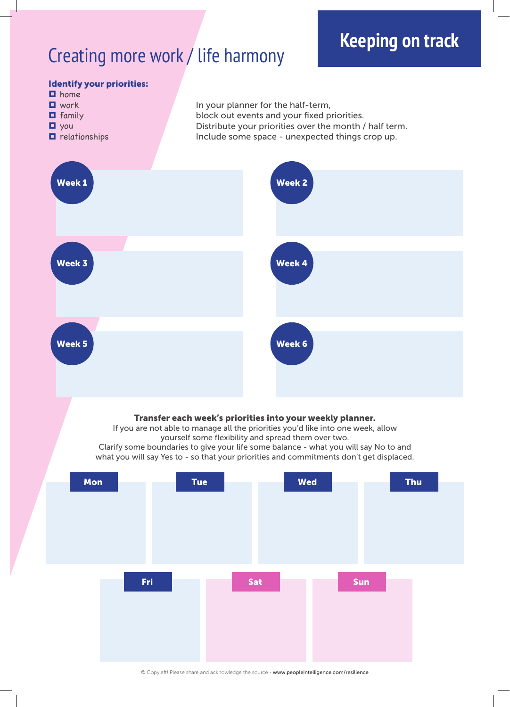## Creating more work / life harmony



© Copyleft! Please share and acknowledge the source - www.peopleintelligence.com/resilience